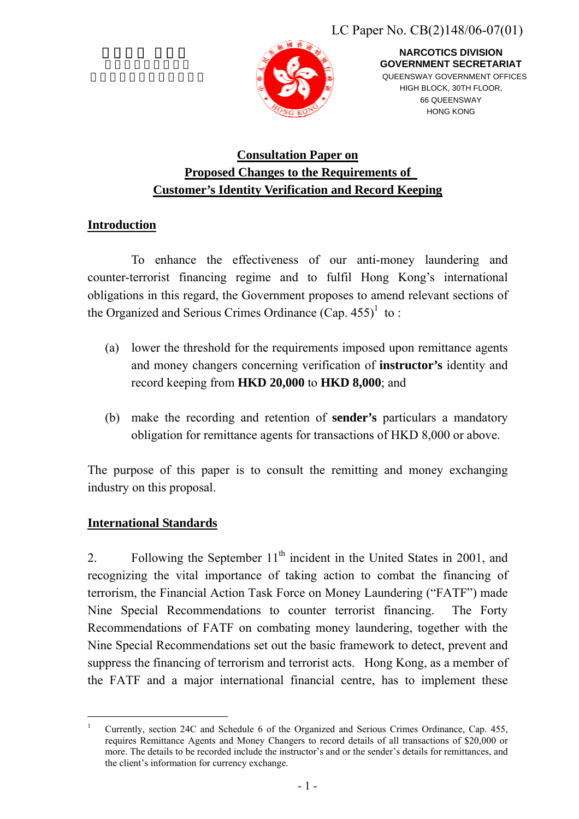

**NARCOTICS DIVISION GOVERNMENT SECRETARIAT**  QUEENSWAY GOVERNMENT OFFICES HIGH BLOCK, 30TH FLOOR, 66 QUEENSWAY HONG KONG

# **Consultation Paper on Proposed Changes to the Requirements of Customer's Identity Verification and Record Keeping**

## **Introduction**

To enhance the effectiveness of our anti-money laundering and counter-terrorist financing regime and to fulfil Hong Kong's international obligations in this regard, the Government proposes to amend relevant sections of the Organized and Serious Crimes Ordinance  $(Cap. 455)^1$  $(Cap. 455)^1$  to:

- (a) lower the threshold for the requirements imposed upon remittance agents and money changers concerning verification of **instructor's** identity and record keeping from **HKD 20,000** to **HKD 8,000**; and
- (b) make the recording and retention of **sender's** particulars a mandatory obligation for remittance agents for transactions of HKD 8,000 or above.

The purpose of this paper is to consult the remitting and money exchanging industry on this proposal.

### **International Standards**

 $\overline{a}$ 

2. Following the September  $11<sup>th</sup>$  incident in the United States in 2001, and recognizing the vital importance of taking action to combat the financing of terrorism, the Financial Action Task Force on Money Laundering ("FATF") made Nine Special Recommendations to counter terrorist financing. The Forty Recommendations of FATF on combating money laundering, together with the Nine Special Recommendations set out the basic framework to detect, prevent and suppress the financing of terrorism and terrorist acts. Hong Kong, as a member of the FATF and a major international financial centre, has to implement these

<span id="page-0-0"></span><sup>1</sup> Currently, section 24C and Schedule 6 of the Organized and Serious Crimes Ordinance, Cap. 455, requires Remittance Agents and Money Changers to record details of all transactions of \$20,000 or more. The details to be recorded include the instructor's and or the sender's details for remittances, and the client's information for currency exchange.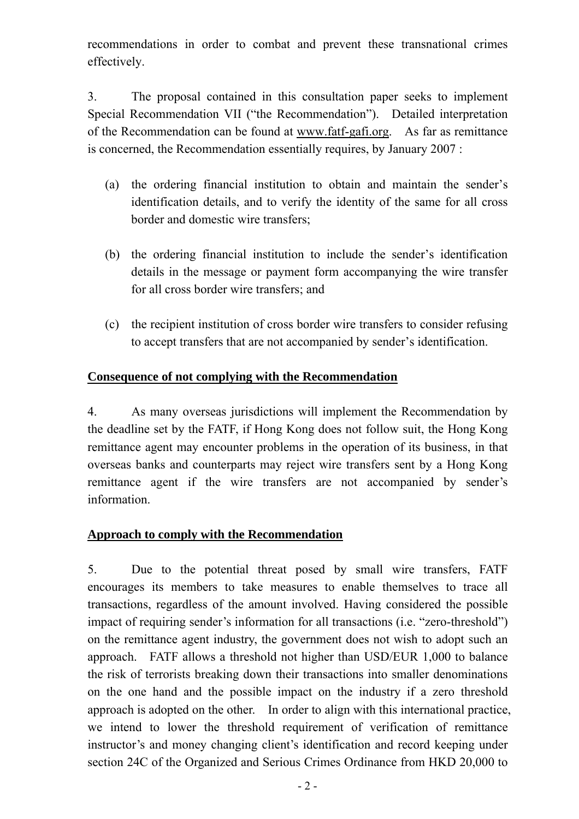recommendations in order to combat and prevent these transnational crimes effectively.

3. The proposal contained in this consultation paper seeks to implement Special Recommendation VII ("the Recommendation"). Detailed interpretation of the Recommendation can be found at [www.fatf-gafi.org.](http://www.fatf-gafi.org/) As far as remittance is concerned, the Recommendation essentially requires, by January 2007 :

- (a) the ordering financial institution to obtain and maintain the sender's identification details, and to verify the identity of the same for all cross border and domestic wire transfers;
- (b) the ordering financial institution to include the sender's identification details in the message or payment form accompanying the wire transfer for all cross border wire transfers; and
- (c) the recipient institution of cross border wire transfers to consider refusing to accept transfers that are not accompanied by sender's identification.

### **Consequence of not complying with the Recommendation**

4. As many overseas jurisdictions will implement the Recommendation by the deadline set by the FATF, if Hong Kong does not follow suit, the Hong Kong remittance agent may encounter problems in the operation of its business, in that overseas banks and counterparts may reject wire transfers sent by a Hong Kong remittance agent if the wire transfers are not accompanied by sender's information.

### **Approach to comply with the Recommendation**

5. Due to the potential threat posed by small wire transfers, FATF encourages its members to take measures to enable themselves to trace all transactions, regardless of the amount involved. Having considered the possible impact of requiring sender's information for all transactions (i.e. "zero-threshold") on the remittance agent industry, the government does not wish to adopt such an approach. FATF allows a threshold not higher than USD/EUR 1,000 to balance the risk of terrorists breaking down their transactions into smaller denominations on the one hand and the possible impact on the industry if a zero threshold approach is adopted on the other. In order to align with this international practice, we intend to lower the threshold requirement of verification of remittance instructor's and money changing client's identification and record keeping under section 24C of the Organized and Serious Crimes Ordinance from HKD 20,000 to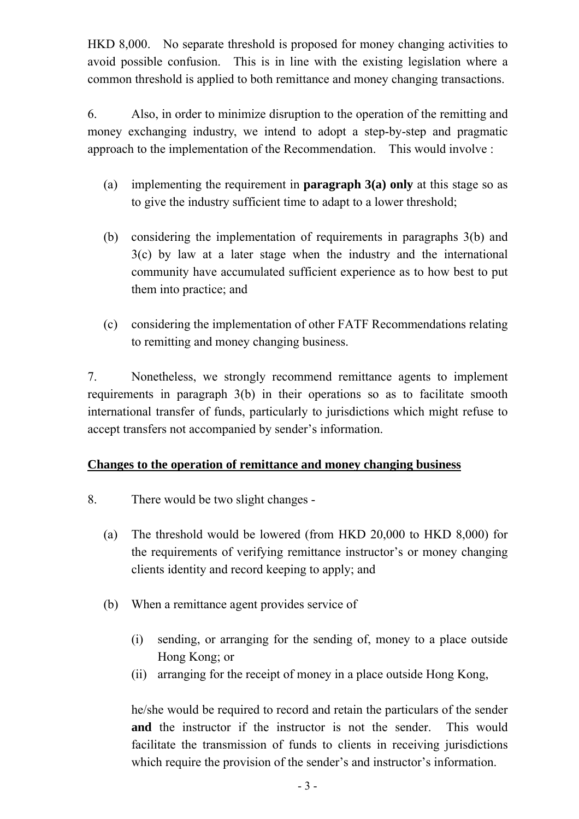HKD 8,000. No separate threshold is proposed for money changing activities to avoid possible confusion. This is in line with the existing legislation where a common threshold is applied to both remittance and money changing transactions.

6. Also, in order to minimize disruption to the operation of the remitting and money exchanging industry, we intend to adopt a step-by-step and pragmatic approach to the implementation of the Recommendation. This would involve :

- (a) implementing the requirement in **paragraph 3(a) only** at this stage so as to give the industry sufficient time to adapt to a lower threshold;
- (b) considering the implementation of requirements in paragraphs 3(b) and 3(c) by law at a later stage when the industry and the international community have accumulated sufficient experience as to how best to put them into practice; and
- (c) considering the implementation of other FATF Recommendations relating to remitting and money changing business.

7. Nonetheless, we strongly recommend remittance agents to implement requirements in paragraph 3(b) in their operations so as to facilitate smooth international transfer of funds, particularly to jurisdictions which might refuse to accept transfers not accompanied by sender's information.

### **Changes to the operation of remittance and money changing business**

- 8. There would be two slight changes
	- (a) The threshold would be lowered (from HKD 20,000 to HKD 8,000) for the requirements of verifying remittance instructor's or money changing clients identity and record keeping to apply; and
	- (b) When a remittance agent provides service of
		- (i) sending, or arranging for the sending of, money to a place outside Hong Kong; or
		- (ii) arranging for the receipt of money in a place outside Hong Kong,

he/she would be required to record and retain the particulars of the sender and the instructor if the instructor is not the sender. This would facilitate the transmission of funds to clients in receiving jurisdictions which require the provision of the sender's and instructor's information.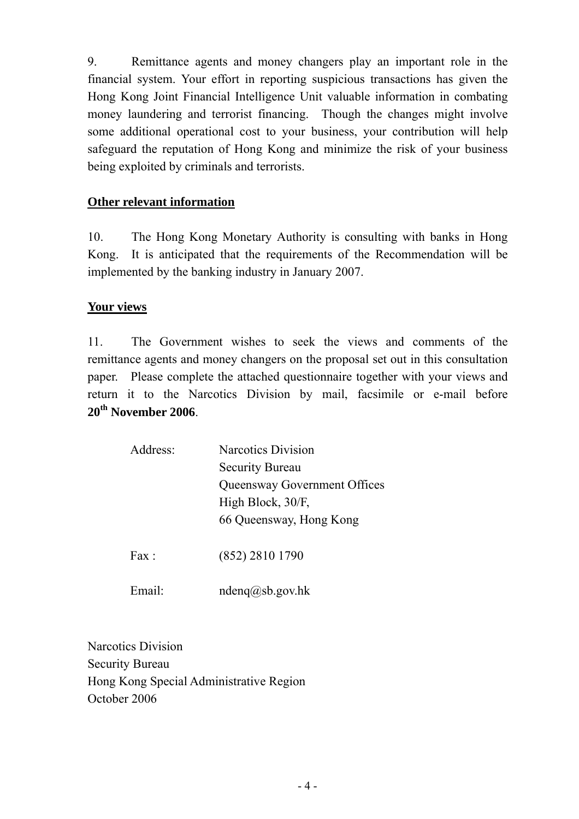9. Remittance agents and money changers play an important role in the financial system. Your effort in reporting suspicious transactions has given the Hong Kong Joint Financial Intelligence Unit valuable information in combating money laundering and terrorist financing. Though the changes might involve some additional operational cost to your business, your contribution will help safeguard the reputation of Hong Kong and minimize the risk of your business being exploited by criminals and terrorists.

### **Other relevant information**

10. The Hong Kong Monetary Authority is consulting with banks in Hong Kong. It is anticipated that the requirements of the Recommendation will be implemented by the banking industry in January 2007.

## **Your views**

11. The Government wishes to seek the views and comments of the remittance agents and money changers on the proposal set out in this consultation paper. Please complete the attached questionnaire together with your views and return it to the Narcotics Division by mail, facsimile or e-mail before **20th November 2006**.

| Address:       | <b>Narcotics Division</b>    |  |  |
|----------------|------------------------------|--|--|
|                | <b>Security Bureau</b>       |  |  |
|                | Queensway Government Offices |  |  |
|                | High Block, 30/F,            |  |  |
|                | 66 Queensway, Hong Kong      |  |  |
| $\text{Fax}$ . | (852) 2810 1790              |  |  |

Email: ndeng@sb.gov.hk

Narcotics Division Security Bureau Hong Kong Special Administrative Region October 2006